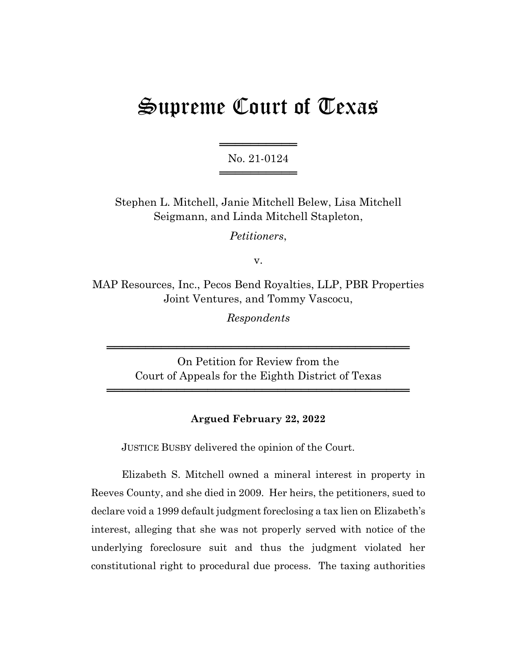# Supreme Court of Texas

═════════════════ No. 21-0124 ═════════════════

Stephen L. Mitchell, Janie Mitchell Belew, Lisa Mitchell Seigmann, and Linda Mitchell Stapleton,

*Petitioners*,

v.

MAP Resources, Inc., Pecos Bend Royalties, LLP, PBR Properties Joint Ventures, and Tommy Vascocu,

*Respondents*

On Petition for Review from the Court of Appeals for the Eighth District of Texas

═══════════════════════════════════════

═══════════════════════════════════════

## **Argued February 22, 2022**

JUSTICE BUSBY delivered the opinion of the Court.

Elizabeth S. Mitchell owned a mineral interest in property in Reeves County, and she died in 2009. Her heirs, the petitioners, sued to declare void a 1999 default judgment foreclosing a tax lien on Elizabeth's interest, alleging that she was not properly served with notice of the underlying foreclosure suit and thus the judgment violated her constitutional right to procedural due process. The taxing authorities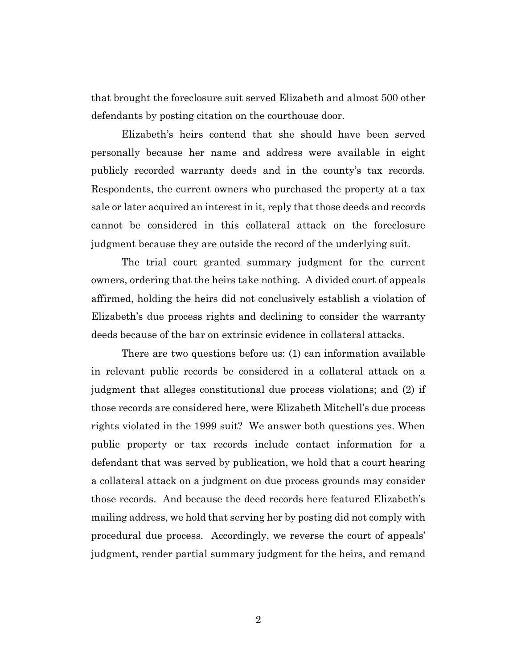that brought the foreclosure suit served Elizabeth and almost 500 other defendants by posting citation on the courthouse door.

Elizabeth's heirs contend that she should have been served personally because her name and address were available in eight publicly recorded warranty deeds and in the county's tax records. Respondents, the current owners who purchased the property at a tax sale or later acquired an interest in it, reply that those deeds and records cannot be considered in this collateral attack on the foreclosure judgment because they are outside the record of the underlying suit.

The trial court granted summary judgment for the current owners, ordering that the heirs take nothing. A divided court of appeals affirmed, holding the heirs did not conclusively establish a violation of Elizabeth's due process rights and declining to consider the warranty deeds because of the bar on extrinsic evidence in collateral attacks.

There are two questions before us: (1) can information available in relevant public records be considered in a collateral attack on a judgment that alleges constitutional due process violations; and (2) if those records are considered here, were Elizabeth Mitchell's due process rights violated in the 1999 suit? We answer both questions yes. When public property or tax records include contact information for a defendant that was served by publication, we hold that a court hearing a collateral attack on a judgment on due process grounds may consider those records. And because the deed records here featured Elizabeth's mailing address, we hold that serving her by posting did not comply with procedural due process. Accordingly, we reverse the court of appeals' judgment, render partial summary judgment for the heirs, and remand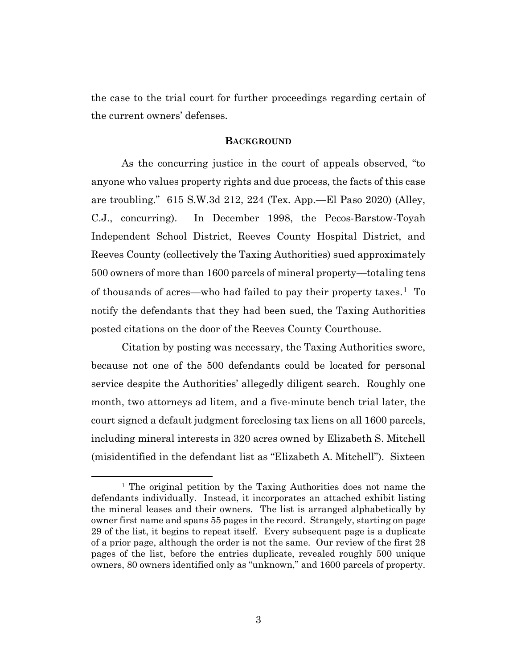the case to the trial court for further proceedings regarding certain of the current owners' defenses.

## **BACKGROUND**

As the concurring justice in the court of appeals observed, "to anyone who values property rights and due process, the facts of this case are troubling." 615 S.W.3d 212, 224 (Tex. App.—El Paso 2020) (Alley, C.J., concurring). In December 1998, the Pecos-Barstow-Toyah Independent School District, Reeves County Hospital District, and Reeves County (collectively the Taxing Authorities) sued approximately 500 owners of more than 1600 parcels of mineral property—totaling tens of thousands of acres—who had failed to pay their property taxes.<sup>1</sup> To notify the defendants that they had been sued, the Taxing Authorities posted citations on the door of the Reeves County Courthouse.

Citation by posting was necessary, the Taxing Authorities swore, because not one of the 500 defendants could be located for personal service despite the Authorities' allegedly diligent search. Roughly one month, two attorneys ad litem, and a five-minute bench trial later, the court signed a default judgment foreclosing tax liens on all 1600 parcels, including mineral interests in 320 acres owned by Elizabeth S. Mitchell (misidentified in the defendant list as "Elizabeth A. Mitchell"). Sixteen

<sup>&</sup>lt;sup>1</sup> The original petition by the Taxing Authorities does not name the defendants individually. Instead, it incorporates an attached exhibit listing the mineral leases and their owners. The list is arranged alphabetically by owner first name and spans 55 pages in the record. Strangely, starting on page 29 of the list, it begins to repeat itself. Every subsequent page is a duplicate of a prior page, although the order is not the same. Our review of the first 28 pages of the list, before the entries duplicate, revealed roughly 500 unique owners, 80 owners identified only as "unknown," and 1600 parcels of property.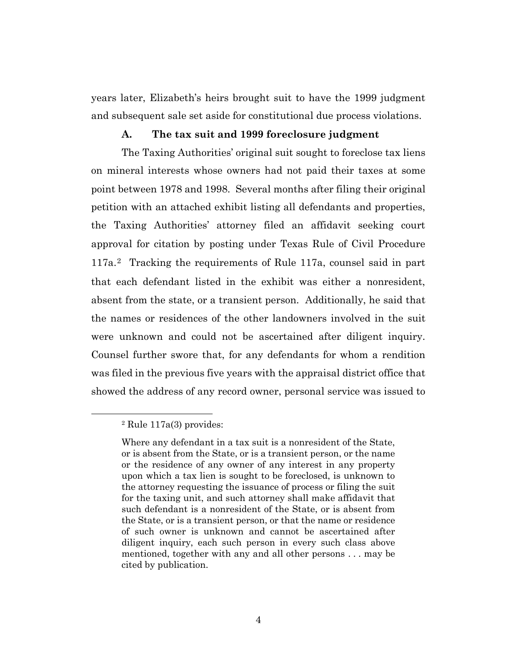years later, Elizabeth's heirs brought suit to have the 1999 judgment and subsequent sale set aside for constitutional due process violations.

## **A. The tax suit and 1999 foreclosure judgment**

The Taxing Authorities' original suit sought to foreclose tax liens on mineral interests whose owners had not paid their taxes at some point between 1978 and 1998. Several months after filing their original petition with an attached exhibit listing all defendants and properties, the Taxing Authorities' attorney filed an affidavit seeking court approval for citation by posting under Texas Rule of Civil Procedure 117a.2 Tracking the requirements of Rule 117a, counsel said in part that each defendant listed in the exhibit was either a nonresident, absent from the state, or a transient person. Additionally, he said that the names or residences of the other landowners involved in the suit were unknown and could not be ascertained after diligent inquiry. Counsel further swore that, for any defendants for whom a rendition was filed in the previous five years with the appraisal district office that showed the address of any record owner, personal service was issued to

<sup>2</sup> Rule 117a(3) provides:

Where any defendant in a tax suit is a nonresident of the State, or is absent from the State, or is a transient person, or the name or the residence of any owner of any interest in any property upon which a tax lien is sought to be foreclosed, is unknown to the attorney requesting the issuance of process or filing the suit for the taxing unit, and such attorney shall make affidavit that such defendant is a nonresident of the State, or is absent from the State, or is a transient person, or that the name or residence of such owner is unknown and cannot be ascertained after diligent inquiry, each such person in every such class above mentioned, together with any and all other persons . . . may be cited by publication.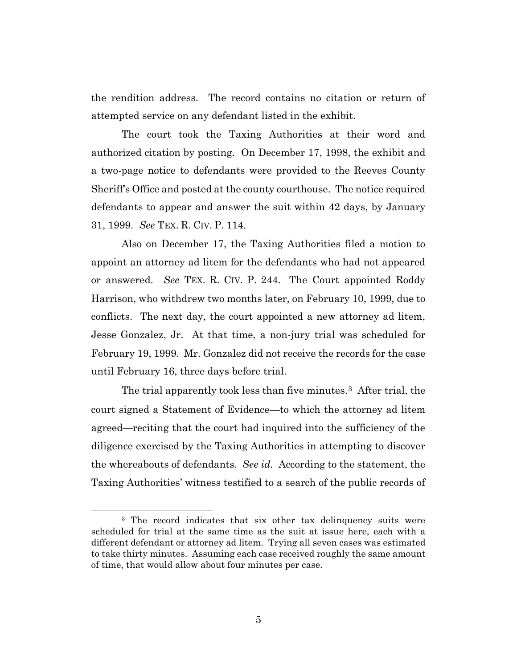the rendition address. The record contains no citation or return of attempted service on any defendant listed in the exhibit.

The court took the Taxing Authorities at their word and authorized citation by posting. On December 17, 1998, the exhibit and a two-page notice to defendants were provided to the Reeves County Sheriff's Office and posted at the county courthouse. The notice required defendants to appear and answer the suit within 42 days, by January 31, 1999. *See* TEX. R. CIV. P. 114.

Also on December 17, the Taxing Authorities filed a motion to appoint an attorney ad litem for the defendants who had not appeared or answered. *See* TEX. R. CIV. P. 244. The Court appointed Roddy Harrison, who withdrew two months later, on February 10, 1999, due to conflicts. The next day, the court appointed a new attorney ad litem, Jesse Gonzalez, Jr. At that time, a non-jury trial was scheduled for February 19, 1999. Mr. Gonzalez did not receive the records for the case until February 16, three days before trial.

The trial apparently took less than five minutes.<sup>3</sup> After trial, the court signed a Statement of Evidence—to which the attorney ad litem agreed—reciting that the court had inquired into the sufficiency of the diligence exercised by the Taxing Authorities in attempting to discover the whereabouts of defendants. *See id.* According to the statement, the Taxing Authorities' witness testified to a search of the public records of

<sup>&</sup>lt;sup>3</sup> The record indicates that six other tax delinquency suits were scheduled for trial at the same time as the suit at issue here, each with a different defendant or attorney ad litem. Trying all seven cases was estimated to take thirty minutes. Assuming each case received roughly the same amount of time, that would allow about four minutes per case.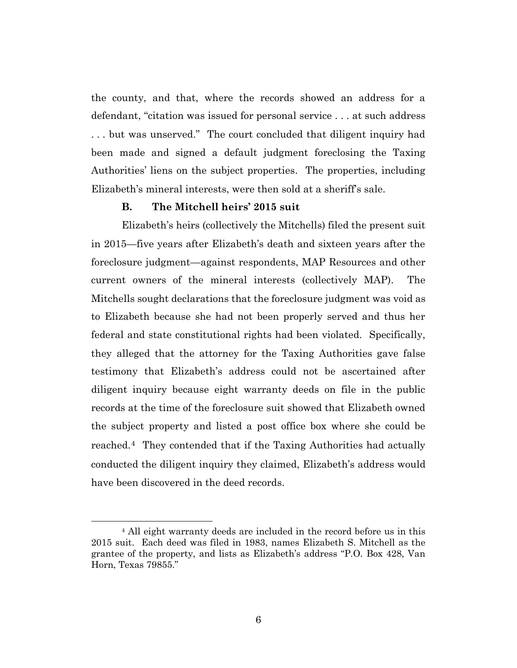the county, and that, where the records showed an address for a defendant, "citation was issued for personal service . . . at such address . . . but was unserved." The court concluded that diligent inquiry had been made and signed a default judgment foreclosing the Taxing Authorities' liens on the subject properties. The properties, including Elizabeth's mineral interests, were then sold at a sheriff's sale.

#### **B. The Mitchell heirs' 2015 suit**

Elizabeth's heirs (collectively the Mitchells) filed the present suit in 2015—five years after Elizabeth's death and sixteen years after the foreclosure judgment—against respondents, MAP Resources and other current owners of the mineral interests (collectively MAP). The Mitchells sought declarations that the foreclosure judgment was void as to Elizabeth because she had not been properly served and thus her federal and state constitutional rights had been violated. Specifically, they alleged that the attorney for the Taxing Authorities gave false testimony that Elizabeth's address could not be ascertained after diligent inquiry because eight warranty deeds on file in the public records at the time of the foreclosure suit showed that Elizabeth owned the subject property and listed a post office box where she could be reached.4 They contended that if the Taxing Authorities had actually conducted the diligent inquiry they claimed, Elizabeth's address would have been discovered in the deed records.

<sup>4</sup> All eight warranty deeds are included in the record before us in this 2015 suit. Each deed was filed in 1983, names Elizabeth S. Mitchell as the grantee of the property, and lists as Elizabeth's address "P.O. Box 428, Van Horn, Texas 79855."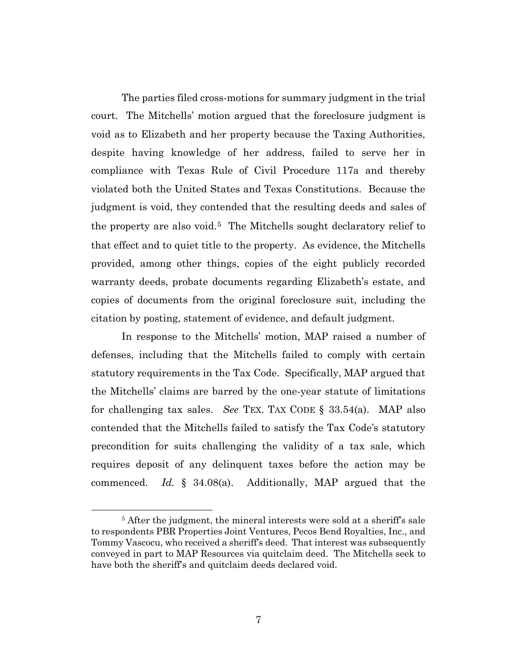The parties filed cross-motions for summary judgment in the trial court. The Mitchells' motion argued that the foreclosure judgment is void as to Elizabeth and her property because the Taxing Authorities, despite having knowledge of her address, failed to serve her in compliance with Texas Rule of Civil Procedure 117a and thereby violated both the United States and Texas Constitutions. Because the judgment is void, they contended that the resulting deeds and sales of the property are also void.5 The Mitchells sought declaratory relief to that effect and to quiet title to the property. As evidence, the Mitchells provided, among other things, copies of the eight publicly recorded warranty deeds, probate documents regarding Elizabeth's estate, and copies of documents from the original foreclosure suit, including the citation by posting, statement of evidence, and default judgment.

In response to the Mitchells' motion, MAP raised a number of defenses, including that the Mitchells failed to comply with certain statutory requirements in the Tax Code. Specifically, MAP argued that the Mitchells' claims are barred by the one-year statute of limitations for challenging tax sales. *See* TEX. TAX CODE § 33.54(a). MAP also contended that the Mitchells failed to satisfy the Tax Code's statutory precondition for suits challenging the validity of a tax sale, which requires deposit of any delinquent taxes before the action may be commenced. *Id.* § 34.08(a). Additionally, MAP argued that the

<sup>&</sup>lt;sup>5</sup> After the judgment, the mineral interests were sold at a sheriff's sale to respondents PBR Properties Joint Ventures, Pecos Bend Royalties, Inc., and Tommy Vascocu, who received a sheriff's deed. That interest was subsequently conveyed in part to MAP Resources via quitclaim deed. The Mitchells seek to have both the sheriff's and quitclaim deeds declared void.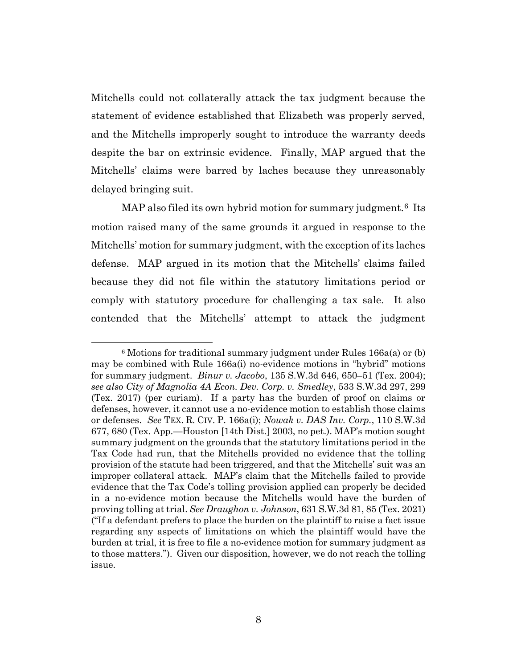Mitchells could not collaterally attack the tax judgment because the statement of evidence established that Elizabeth was properly served, and the Mitchells improperly sought to introduce the warranty deeds despite the bar on extrinsic evidence. Finally, MAP argued that the Mitchells' claims were barred by laches because they unreasonably delayed bringing suit.

MAP also filed its own hybrid motion for summary judgment.<sup>6</sup> Its motion raised many of the same grounds it argued in response to the Mitchells' motion for summary judgment, with the exception of its laches defense. MAP argued in its motion that the Mitchells' claims failed because they did not file within the statutory limitations period or comply with statutory procedure for challenging a tax sale. It also contended that the Mitchells' attempt to attack the judgment

 $6$  Motions for traditional summary judgment under Rules 166a(a) or (b) may be combined with Rule 166a(i) no-evidence motions in "hybrid" motions for summary judgment. *Binur v. Jacobo*, 135 S.W.3d 646, 650–51 (Tex. 2004); *see also City of Magnolia 4A Econ. Dev. Corp. v. Smedley*, 533 S.W.3d 297, 299 (Tex. 2017) (per curiam). If a party has the burden of proof on claims or defenses, however, it cannot use a no-evidence motion to establish those claims or defenses. *See* TEX. R. CIV. P. 166a(i); *Nowak v. DAS Inv. Corp.*, 110 S.W.3d 677, 680 (Tex. App.—Houston [14th Dist.] 2003, no pet.). MAP's motion sought summary judgment on the grounds that the statutory limitations period in the Tax Code had run, that the Mitchells provided no evidence that the tolling provision of the statute had been triggered, and that the Mitchells' suit was an improper collateral attack. MAP's claim that the Mitchells failed to provide evidence that the Tax Code's tolling provision applied can properly be decided in a no-evidence motion because the Mitchells would have the burden of proving tolling at trial. *See Draughon v. Johnson*, 631 S.W.3d 81, 85 (Tex. 2021) ("If a defendant prefers to place the burden on the plaintiff to raise a fact issue regarding any aspects of limitations on which the plaintiff would have the burden at trial, it is free to file a no-evidence motion for summary judgment as to those matters."). Given our disposition, however, we do not reach the tolling issue.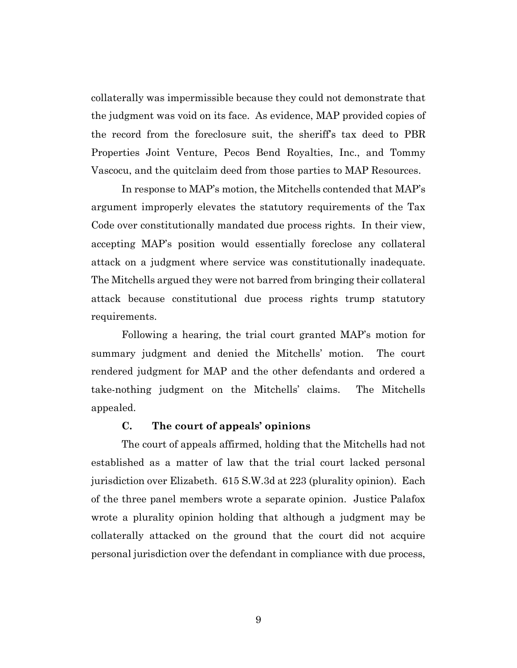collaterally was impermissible because they could not demonstrate that the judgment was void on its face. As evidence, MAP provided copies of the record from the foreclosure suit, the sheriff's tax deed to PBR Properties Joint Venture, Pecos Bend Royalties, Inc., and Tommy Vascocu, and the quitclaim deed from those parties to MAP Resources.

In response to MAP's motion, the Mitchells contended that MAP's argument improperly elevates the statutory requirements of the Tax Code over constitutionally mandated due process rights. In their view, accepting MAP's position would essentially foreclose any collateral attack on a judgment where service was constitutionally inadequate. The Mitchells argued they were not barred from bringing their collateral attack because constitutional due process rights trump statutory requirements.

Following a hearing, the trial court granted MAP's motion for summary judgment and denied the Mitchells' motion. The court rendered judgment for MAP and the other defendants and ordered a take-nothing judgment on the Mitchells' claims. The Mitchells appealed.

## **C. The court of appeals' opinions**

The court of appeals affirmed, holding that the Mitchells had not established as a matter of law that the trial court lacked personal jurisdiction over Elizabeth. 615 S.W.3d at 223 (plurality opinion). Each of the three panel members wrote a separate opinion. Justice Palafox wrote a plurality opinion holding that although a judgment may be collaterally attacked on the ground that the court did not acquire personal jurisdiction over the defendant in compliance with due process,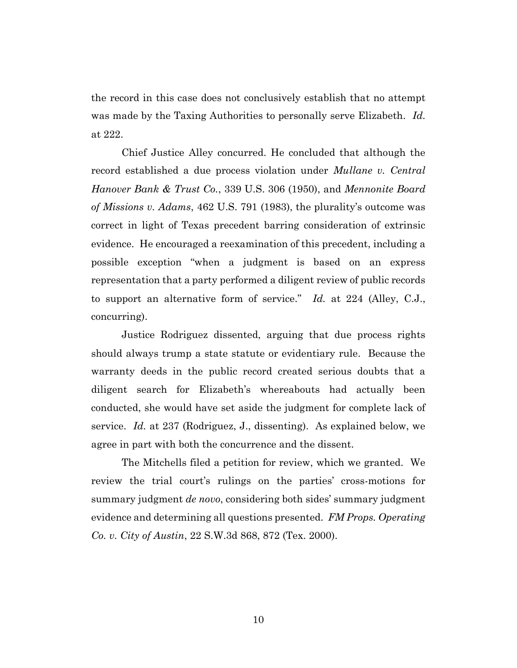the record in this case does not conclusively establish that no attempt was made by the Taxing Authorities to personally serve Elizabeth. *Id.*  at 222.

Chief Justice Alley concurred. He concluded that although the record established a due process violation under *Mullane v. Central Hanover Bank & Trust Co.*, 339 U.S. 306 (1950), and *Mennonite Board of Missions v. Adams*, 462 U.S. 791 (1983), the plurality's outcome was correct in light of Texas precedent barring consideration of extrinsic evidence. He encouraged a reexamination of this precedent, including a possible exception "when a judgment is based on an express representation that a party performed a diligent review of public records to support an alternative form of service." *Id.* at 224 (Alley, C.J., concurring).

Justice Rodriguez dissented, arguing that due process rights should always trump a state statute or evidentiary rule. Because the warranty deeds in the public record created serious doubts that a diligent search for Elizabeth's whereabouts had actually been conducted, she would have set aside the judgment for complete lack of service. *Id.* at 237 (Rodriguez, J., dissenting). As explained below, we agree in part with both the concurrence and the dissent.

The Mitchells filed a petition for review, which we granted. We review the trial court's rulings on the parties' cross-motions for summary judgment *de novo*, considering both sides' summary judgment evidence and determining all questions presented. *FM Props. Operating Co. v. City of Austin*, 22 S.W.3d 868, 872 (Tex. 2000).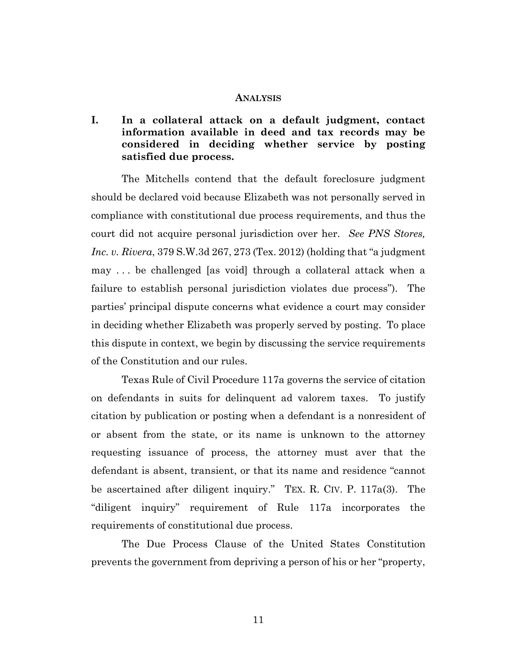#### **ANALYSIS**

# **I. In a collateral attack on a default judgment, contact information available in deed and tax records may be considered in deciding whether service by posting satisfied due process.**

The Mitchells contend that the default foreclosure judgment should be declared void because Elizabeth was not personally served in compliance with constitutional due process requirements, and thus the court did not acquire personal jurisdiction over her. *See PNS Stores, Inc. v. Rivera*, 379 S.W.3d 267, 273 (Tex. 2012) (holding that "a judgment may . . . be challenged [as void] through a collateral attack when a failure to establish personal jurisdiction violates due process"). The parties' principal dispute concerns what evidence a court may consider in deciding whether Elizabeth was properly served by posting. To place this dispute in context, we begin by discussing the service requirements of the Constitution and our rules.

Texas Rule of Civil Procedure 117a governs the service of citation on defendants in suits for delinquent ad valorem taxes. To justify citation by publication or posting when a defendant is a nonresident of or absent from the state, or its name is unknown to the attorney requesting issuance of process, the attorney must aver that the defendant is absent, transient, or that its name and residence "cannot be ascertained after diligent inquiry." TEX. R. CIV. P. 117a(3). The "diligent inquiry" requirement of Rule 117a incorporates the requirements of constitutional due process.

The Due Process Clause of the United States Constitution prevents the government from depriving a person of his or her "property,

11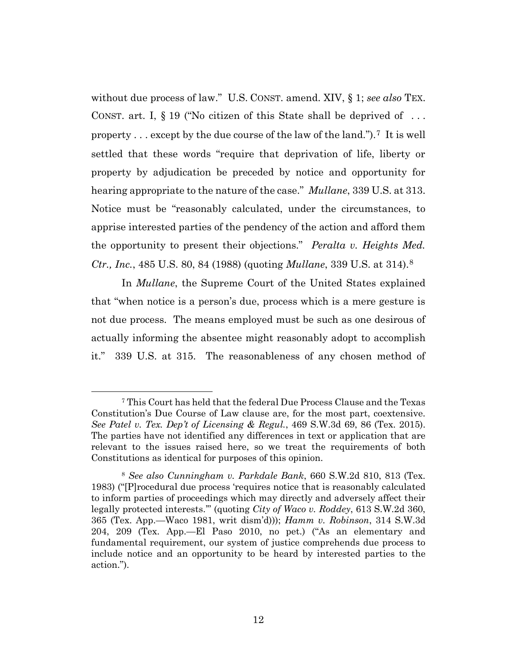without due process of law." U.S. CONST. amend. XIV, § 1; *see also* TEX. CONST. art. I,  $\S 19$  ("No citizen of this State shall be deprived of ... property . . . except by the due course of the law of the land.").7 It is well settled that these words "require that deprivation of life, liberty or property by adjudication be preceded by notice and opportunity for hearing appropriate to the nature of the case." *Mullane*, 339 U.S. at 313. Notice must be "reasonably calculated, under the circumstances, to apprise interested parties of the pendency of the action and afford them the opportunity to present their objections." *Peralta v. Heights Med. Ctr., Inc.*, 485 U.S. 80, 84 (1988) (quoting *Mullane*, 339 U.S. at 314). 8

In *Mullane*, the Supreme Court of the United States explained that "when notice is a person's due, process which is a mere gesture is not due process. The means employed must be such as one desirous of actually informing the absentee might reasonably adopt to accomplish it." 339 U.S. at 315. The reasonableness of any chosen method of

<sup>7</sup> This Court has held that the federal Due Process Clause and the Texas Constitution's Due Course of Law clause are, for the most part, coextensive. *See Patel v. Tex. Dep't of Licensing & Regul.*, 469 S.W.3d 69, 86 (Tex. 2015). The parties have not identified any differences in text or application that are relevant to the issues raised here, so we treat the requirements of both Constitutions as identical for purposes of this opinion.

<sup>8</sup> *See also Cunningham v. Parkdale Bank*, 660 S.W.2d 810, 813 (Tex. 1983) ("[P]rocedural due process 'requires notice that is reasonably calculated to inform parties of proceedings which may directly and adversely affect their legally protected interests.'" (quoting *City of Waco v. Roddey*, 613 S.W.2d 360, 365 (Tex. App.—Waco 1981, writ dism'd))); *Hamm v. Robinson*, 314 S.W.3d 204, 209 (Tex. App.—El Paso 2010, no pet.) ("As an elementary and fundamental requirement, our system of justice comprehends due process to include notice and an opportunity to be heard by interested parties to the action.").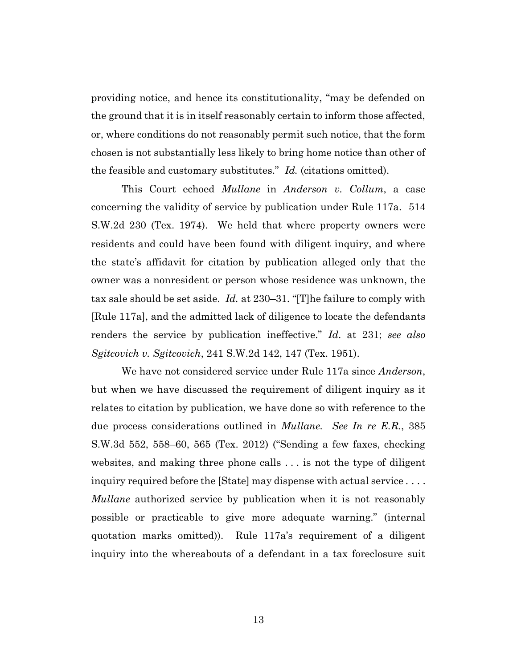providing notice, and hence its constitutionality, "may be defended on the ground that it is in itself reasonably certain to inform those affected, or, where conditions do not reasonably permit such notice, that the form chosen is not substantially less likely to bring home notice than other of the feasible and customary substitutes." *Id.* (citations omitted).

This Court echoed *Mullane* in *Anderson v. Collum*, a case concerning the validity of service by publication under Rule 117a. 514 S.W.2d 230 (Tex. 1974). We held that where property owners were residents and could have been found with diligent inquiry, and where the state's affidavit for citation by publication alleged only that the owner was a nonresident or person whose residence was unknown, the tax sale should be set aside. *Id.* at 230–31. "[T]he failure to comply with [Rule 117a], and the admitted lack of diligence to locate the defendants renders the service by publication ineffective." *Id*. at 231; *see also Sgitcovich v. Sgitcovich*, 241 S.W.2d 142, 147 (Tex. 1951).

We have not considered service under Rule 117a since *Anderson*, but when we have discussed the requirement of diligent inquiry as it relates to citation by publication, we have done so with reference to the due process considerations outlined in *Mullane. See In re E.R.*, 385 S.W.3d 552, 558–60, 565 (Tex. 2012) ("Sending a few faxes, checking websites, and making three phone calls . . . is not the type of diligent inquiry required before the [State] may dispense with actual service . . . . *Mullane* authorized service by publication when it is not reasonably possible or practicable to give more adequate warning." (internal quotation marks omitted)). Rule 117a's requirement of a diligent inquiry into the whereabouts of a defendant in a tax foreclosure suit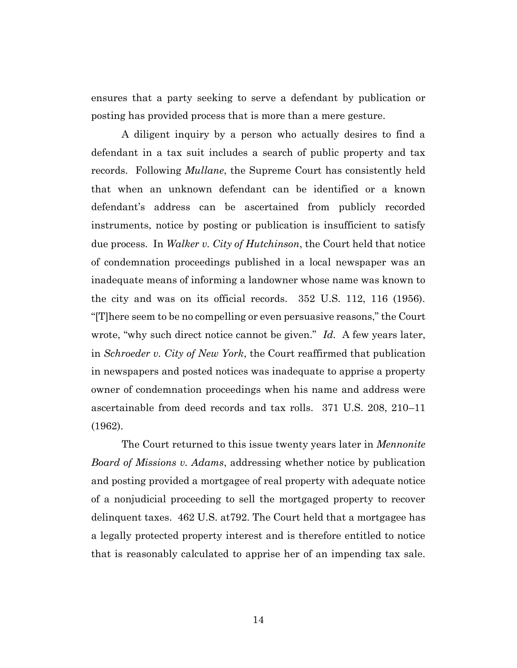ensures that a party seeking to serve a defendant by publication or posting has provided process that is more than a mere gesture.

A diligent inquiry by a person who actually desires to find a defendant in a tax suit includes a search of public property and tax records. Following *Mullane*, the Supreme Court has consistently held that when an unknown defendant can be identified or a known defendant's address can be ascertained from publicly recorded instruments, notice by posting or publication is insufficient to satisfy due process. In *Walker v. City of Hutchinson*, the Court held that notice of condemnation proceedings published in a local newspaper was an inadequate means of informing a landowner whose name was known to the city and was on its official records. 352 U.S. 112, 116 (1956). "[T]here seem to be no compelling or even persuasive reasons," the Court wrote, "why such direct notice cannot be given." *Id.* A few years later, in *Schroeder v. City of New York*, the Court reaffirmed that publication in newspapers and posted notices was inadequate to apprise a property owner of condemnation proceedings when his name and address were ascertainable from deed records and tax rolls. 371 U.S. 208, 210–11 (1962).

The Court returned to this issue twenty years later in *Mennonite Board of Missions v. Adams*, addressing whether notice by publication and posting provided a mortgagee of real property with adequate notice of a nonjudicial proceeding to sell the mortgaged property to recover delinquent taxes. 462 U.S. at792. The Court held that a mortgagee has a legally protected property interest and is therefore entitled to notice that is reasonably calculated to apprise her of an impending tax sale.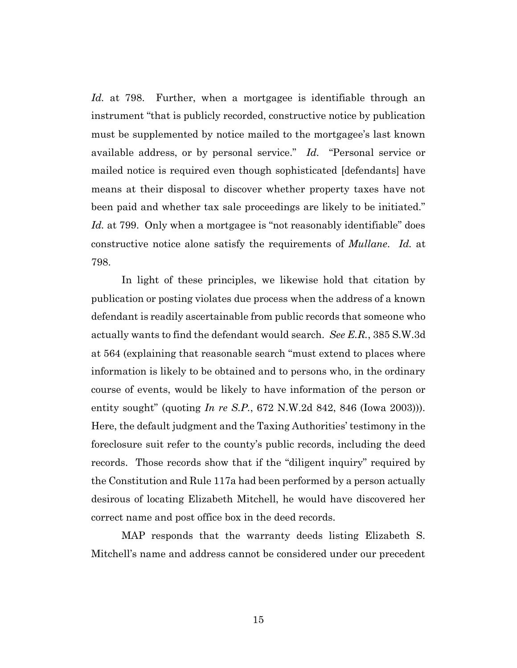*Id.* at 798. Further, when a mortgagee is identifiable through an instrument "that is publicly recorded, constructive notice by publication must be supplemented by notice mailed to the mortgagee's last known available address, or by personal service." *Id.* "Personal service or mailed notice is required even though sophisticated [defendants] have means at their disposal to discover whether property taxes have not been paid and whether tax sale proceedings are likely to be initiated." Id. at 799. Only when a mortgagee is "not reasonably identifiable" does constructive notice alone satisfy the requirements of *Mullane*. *Id.* at 798.

In light of these principles, we likewise hold that citation by publication or posting violates due process when the address of a known defendant is readily ascertainable from public records that someone who actually wants to find the defendant would search. *See E.R.*, 385 S.W.3d at 564 (explaining that reasonable search "must extend to places where information is likely to be obtained and to persons who, in the ordinary course of events, would be likely to have information of the person or entity sought" (quoting *In re S.P.*, 672 N.W.2d 842, 846 (Iowa 2003))). Here, the default judgment and the Taxing Authorities' testimony in the foreclosure suit refer to the county's public records, including the deed records. Those records show that if the "diligent inquiry" required by the Constitution and Rule 117a had been performed by a person actually desirous of locating Elizabeth Mitchell, he would have discovered her correct name and post office box in the deed records.

MAP responds that the warranty deeds listing Elizabeth S. Mitchell's name and address cannot be considered under our precedent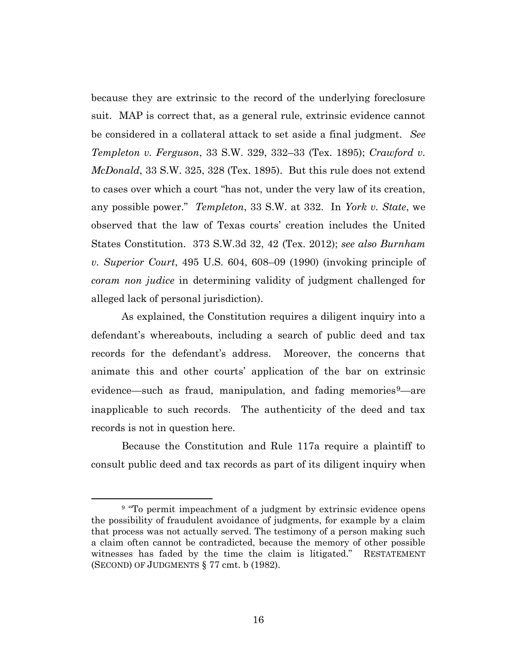because they are extrinsic to the record of the underlying foreclosure suit. MAP is correct that, as a general rule, extrinsic evidence cannot be considered in a collateral attack to set aside a final judgment. *See Templeton v. Ferguson*, 33 S.W. 329, 332–33 (Tex. 1895); *Crawford v. McDonald*, 33 S.W. 325, 328 (Tex. 1895). But this rule does not extend to cases over which a court "has not, under the very law of its creation, any possible power." *Templeton*, 33 S.W. at 332. In *York v. State*, we observed that the law of Texas courts' creation includes the United States Constitution. 373 S.W.3d 32, 42 (Tex. 2012); *see also Burnham v. Superior Court*, 495 U.S. 604, 608–09 (1990) (invoking principle of *coram non judice* in determining validity of judgment challenged for alleged lack of personal jurisdiction).

As explained, the Constitution requires a diligent inquiry into a defendant's whereabouts, including a search of public deed and tax records for the defendant's address. Moreover, the concerns that animate this and other courts' application of the bar on extrinsic evidence—such as fraud, manipulation, and fading memories $9$ —are inapplicable to such records. The authenticity of the deed and tax records is not in question here.

Because the Constitution and Rule 117a require a plaintiff to consult public deed and tax records as part of its diligent inquiry when

<sup>&</sup>lt;sup>9</sup> "To permit impeachment of a judgment by extrinsic evidence opens the possibility of fraudulent avoidance of judgments, for example by a claim that process was not actually served. The testimony of a person making such a claim often cannot be contradicted, because the memory of other possible witnesses has faded by the time the claim is litigated." RESTATEMENT (SECOND) OF JUDGMENTS § 77 cmt. b (1982).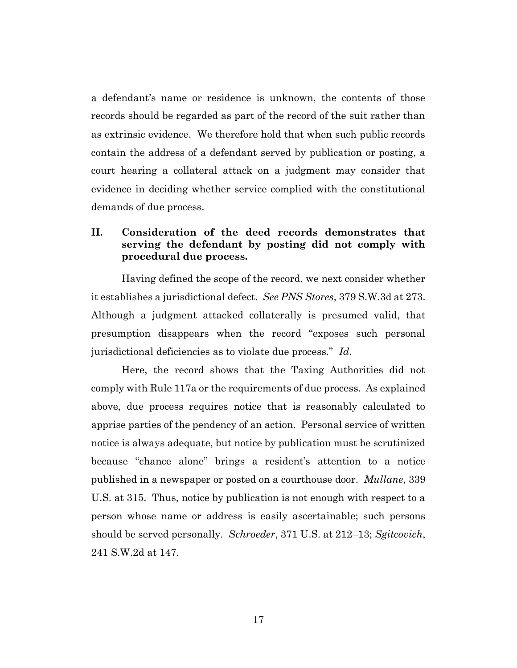a defendant's name or residence is unknown, the contents of those records should be regarded as part of the record of the suit rather than as extrinsic evidence. We therefore hold that when such public records contain the address of a defendant served by publication or posting, a court hearing a collateral attack on a judgment may consider that evidence in deciding whether service complied with the constitutional demands of due process.

# **II. Consideration of the deed records demonstrates that serving the defendant by posting did not comply with procedural due process.**

Having defined the scope of the record, we next consider whether it establishes a jurisdictional defect. *See PNS Stores*, 379 S.W.3d at 273. Although a judgment attacked collaterally is presumed valid, that presumption disappears when the record "exposes such personal jurisdictional deficiencies as to violate due process." *Id*.

Here, the record shows that the Taxing Authorities did not comply with Rule 117a or the requirements of due process. As explained above, due process requires notice that is reasonably calculated to apprise parties of the pendency of an action. Personal service of written notice is always adequate, but notice by publication must be scrutinized because "chance alone" brings a resident's attention to a notice published in a newspaper or posted on a courthouse door. *Mullane*, 339 U.S. at 315. Thus, notice by publication is not enough with respect to a person whose name or address is easily ascertainable; such persons should be served personally. *Schroeder*, 371 U.S. at 212–13; *Sgitcovich*, 241 S.W.2d at 147.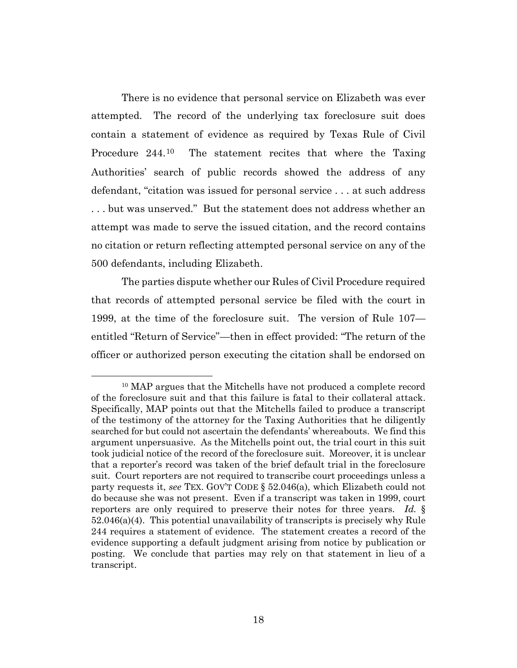There is no evidence that personal service on Elizabeth was ever attempted. The record of the underlying tax foreclosure suit does contain a statement of evidence as required by Texas Rule of Civil Procedure 244.<sup>10</sup> The statement recites that where the Taxing Authorities' search of public records showed the address of any defendant, "citation was issued for personal service . . . at such address . . . but was unserved." But the statement does not address whether an attempt was made to serve the issued citation, and the record contains no citation or return reflecting attempted personal service on any of the 500 defendants, including Elizabeth.

The parties dispute whether our Rules of Civil Procedure required that records of attempted personal service be filed with the court in 1999, at the time of the foreclosure suit. The version of Rule 107 entitled "Return of Service"—then in effect provided: "The return of the officer or authorized person executing the citation shall be endorsed on

<sup>&</sup>lt;sup>10</sup> MAP argues that the Mitchells have not produced a complete record of the foreclosure suit and that this failure is fatal to their collateral attack. Specifically, MAP points out that the Mitchells failed to produce a transcript of the testimony of the attorney for the Taxing Authorities that he diligently searched for but could not ascertain the defendants' whereabouts. We find this argument unpersuasive. As the Mitchells point out, the trial court in this suit took judicial notice of the record of the foreclosure suit. Moreover, it is unclear that a reporter's record was taken of the brief default trial in the foreclosure suit. Court reporters are not required to transcribe court proceedings unless a party requests it, *see* TEX. GOV'T CODE § 52.046(a), which Elizabeth could not do because she was not present. Even if a transcript was taken in 1999, court reporters are only required to preserve their notes for three years. *Id.* § 52.046(a)(4). This potential unavailability of transcripts is precisely why Rule 244 requires a statement of evidence. The statement creates a record of the evidence supporting a default judgment arising from notice by publication or posting. We conclude that parties may rely on that statement in lieu of a transcript.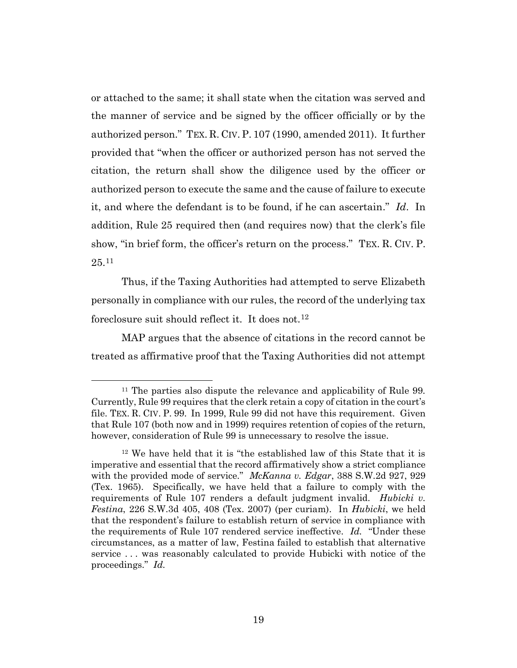or attached to the same; it shall state when the citation was served and the manner of service and be signed by the officer officially or by the authorized person." TEX. R. CIV. P. 107 (1990, amended 2011). It further provided that "when the officer or authorized person has not served the citation, the return shall show the diligence used by the officer or authorized person to execute the same and the cause of failure to execute it, and where the defendant is to be found, if he can ascertain." *Id*. In addition, Rule 25 required then (and requires now) that the clerk's file show, "in brief form, the officer's return on the process." TEX. R. CIV. P.  $25^{11}$ 

Thus, if the Taxing Authorities had attempted to serve Elizabeth personally in compliance with our rules, the record of the underlying tax foreclosure suit should reflect it. It does not.<sup>12</sup>

MAP argues that the absence of citations in the record cannot be treated as affirmative proof that the Taxing Authorities did not attempt

<sup>11</sup> The parties also dispute the relevance and applicability of Rule 99. Currently, Rule 99 requires that the clerk retain a copy of citation in the court's file. TEX. R. CIV. P. 99. In 1999, Rule 99 did not have this requirement. Given that Rule 107 (both now and in 1999) requires retention of copies of the return, however, consideration of Rule 99 is unnecessary to resolve the issue.

<sup>12</sup> We have held that it is "the established law of this State that it is imperative and essential that the record affirmatively show a strict compliance with the provided mode of service." *McKanna v. Edgar*, 388 S.W.2d 927, 929 (Tex. 1965). Specifically, we have held that a failure to comply with the requirements of Rule 107 renders a default judgment invalid. *Hubicki v. Festina*, 226 S.W.3d 405, 408 (Tex. 2007) (per curiam). In *Hubicki*, we held that the respondent's failure to establish return of service in compliance with the requirements of Rule 107 rendered service ineffective. *Id.* "Under these circumstances, as a matter of law, Festina failed to establish that alternative service . . . was reasonably calculated to provide Hubicki with notice of the proceedings." *Id.*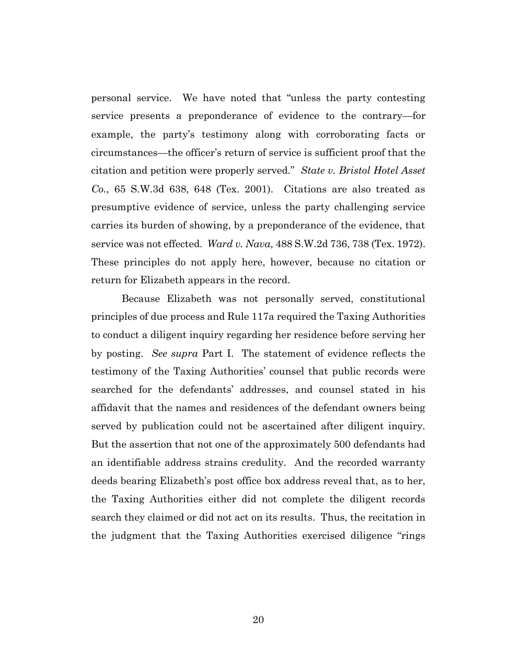personal service. We have noted that "unless the party contesting service presents a preponderance of evidence to the contrary—for example, the party's testimony along with corroborating facts or circumstances—the officer's return of service is sufficient proof that the citation and petition were properly served." *State v. Bristol Hotel Asset Co.*, 65 S.W.3d 638, 648 (Tex. 2001). Citations are also treated as presumptive evidence of service, unless the party challenging service carries its burden of showing, by a preponderance of the evidence, that service was not effected. *Ward v. Nava*, 488 S.W.2d 736, 738 (Tex. 1972). These principles do not apply here, however, because no citation or return for Elizabeth appears in the record.

Because Elizabeth was not personally served, constitutional principles of due process and Rule 117a required the Taxing Authorities to conduct a diligent inquiry regarding her residence before serving her by posting. *See supra* Part I. The statement of evidence reflects the testimony of the Taxing Authorities' counsel that public records were searched for the defendants' addresses, and counsel stated in his affidavit that the names and residences of the defendant owners being served by publication could not be ascertained after diligent inquiry. But the assertion that not one of the approximately 500 defendants had an identifiable address strains credulity. And the recorded warranty deeds bearing Elizabeth's post office box address reveal that, as to her, the Taxing Authorities either did not complete the diligent records search they claimed or did not act on its results. Thus, the recitation in the judgment that the Taxing Authorities exercised diligence "rings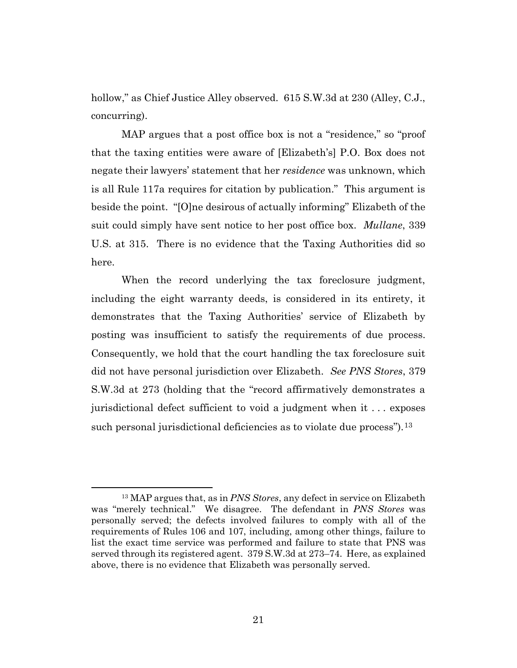hollow," as Chief Justice Alley observed. 615 S.W.3d at 230 (Alley, C.J., concurring).

MAP argues that a post office box is not a "residence," so "proof that the taxing entities were aware of [Elizabeth's] P.O. Box does not negate their lawyers' statement that her *residence* was unknown, which is all Rule 117a requires for citation by publication." This argument is beside the point. "[O]ne desirous of actually informing" Elizabeth of the suit could simply have sent notice to her post office box. *Mullane*, 339 U.S. at 315. There is no evidence that the Taxing Authorities did so here.

When the record underlying the tax foreclosure judgment, including the eight warranty deeds, is considered in its entirety, it demonstrates that the Taxing Authorities' service of Elizabeth by posting was insufficient to satisfy the requirements of due process. Consequently, we hold that the court handling the tax foreclosure suit did not have personal jurisdiction over Elizabeth. *See PNS Stores*, 379 S.W.3d at 273 (holding that the "record affirmatively demonstrates a jurisdictional defect sufficient to void a judgment when it . . . exposes such personal jurisdictional deficiencies as to violate due process").<sup>13</sup>

<sup>13</sup> MAP argues that, as in *PNS Stores*, any defect in service on Elizabeth was "merely technical." We disagree. The defendant in *PNS Stores* was personally served; the defects involved failures to comply with all of the requirements of Rules 106 and 107, including, among other things, failure to list the exact time service was performed and failure to state that PNS was served through its registered agent. 379 S.W.3d at 273–74. Here, as explained above, there is no evidence that Elizabeth was personally served.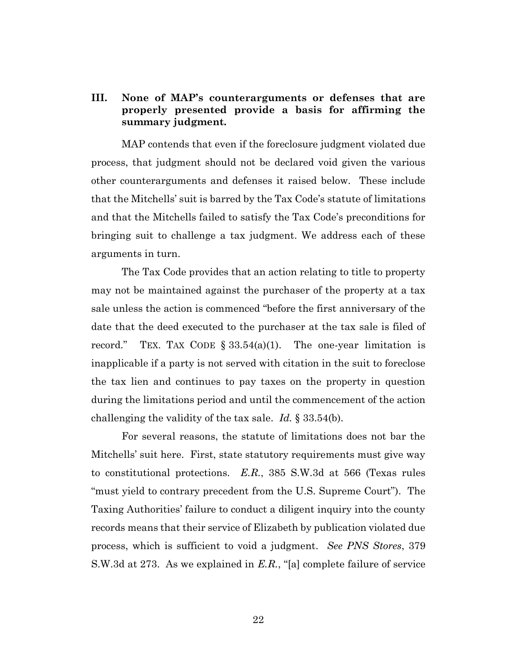# **III. None of MAP's counterarguments or defenses that are properly presented provide a basis for affirming the summary judgment.**

MAP contends that even if the foreclosure judgment violated due process, that judgment should not be declared void given the various other counterarguments and defenses it raised below. These include that the Mitchells' suit is barred by the Tax Code's statute of limitations and that the Mitchells failed to satisfy the Tax Code's preconditions for bringing suit to challenge a tax judgment. We address each of these arguments in turn.

The Tax Code provides that an action relating to title to property may not be maintained against the purchaser of the property at a tax sale unless the action is commenced "before the first anniversary of the date that the deed executed to the purchaser at the tax sale is filed of record." TEX. TAX CODE  $\S 33.54(a)(1)$ . The one-year limitation is inapplicable if a party is not served with citation in the suit to foreclose the tax lien and continues to pay taxes on the property in question during the limitations period and until the commencement of the action challenging the validity of the tax sale. *Id.* § 33.54(b).

For several reasons, the statute of limitations does not bar the Mitchells' suit here. First, state statutory requirements must give way to constitutional protections. *E.R.*, 385 S.W.3d at 566 (Texas rules "must yield to contrary precedent from the U.S. Supreme Court"). The Taxing Authorities' failure to conduct a diligent inquiry into the county records means that their service of Elizabeth by publication violated due process, which is sufficient to void a judgment. *See PNS Stores*, 379 S.W.3d at 273. As we explained in *E.R.*, "[a] complete failure of service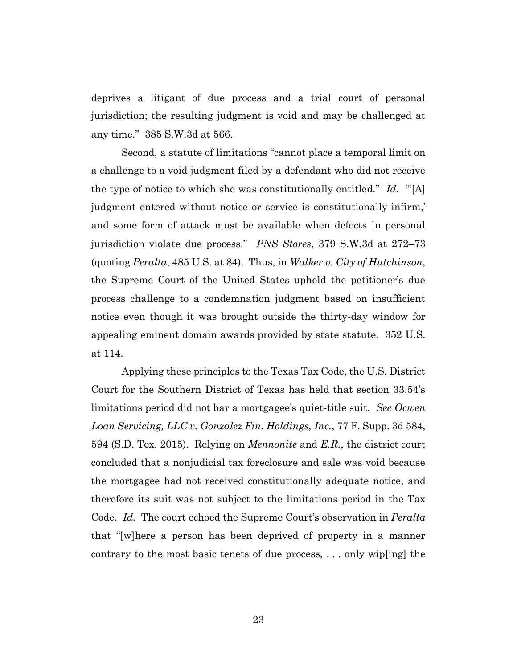deprives a litigant of due process and a trial court of personal jurisdiction; the resulting judgment is void and may be challenged at any time." 385 S.W.3d at 566.

Second, a statute of limitations "cannot place a temporal limit on a challenge to a void judgment filed by a defendant who did not receive the type of notice to which she was constitutionally entitled." *Id.* "'[A] judgment entered without notice or service is constitutionally infirm,' and some form of attack must be available when defects in personal jurisdiction violate due process." *PNS Stores*, 379 S.W.3d at 272–73 (quoting *Peralta*, 485 U.S. at 84). Thus, in *Walker v. City of Hutchinson*, the Supreme Court of the United States upheld the petitioner's due process challenge to a condemnation judgment based on insufficient notice even though it was brought outside the thirty-day window for appealing eminent domain awards provided by state statute. 352 U.S. at 114.

Applying these principles to the Texas Tax Code, the U.S. District Court for the Southern District of Texas has held that section 33.54's limitations period did not bar a mortgagee's quiet-title suit. *See Ocwen Loan Servicing, LLC v. Gonzalez Fin. Holdings, Inc.*, 77 F. Supp. 3d 584, 594 (S.D. Tex. 2015). Relying on *Mennonite* and *E.R.*, the district court concluded that a nonjudicial tax foreclosure and sale was void because the mortgagee had not received constitutionally adequate notice, and therefore its suit was not subject to the limitations period in the Tax Code. *Id.* The court echoed the Supreme Court's observation in *Peralta* that "[w]here a person has been deprived of property in a manner contrary to the most basic tenets of due process, . . . only wip[ing] the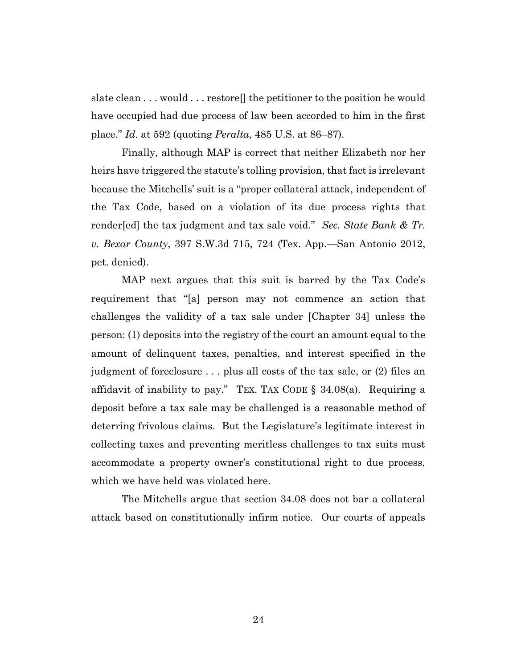slate clean . . . would . . . restore[] the petitioner to the position he would have occupied had due process of law been accorded to him in the first place." *Id.* at 592 (quoting *Peralta*, 485 U.S. at 86–87).

Finally, although MAP is correct that neither Elizabeth nor her heirs have triggered the statute's tolling provision, that fact is irrelevant because the Mitchells' suit is a "proper collateral attack, independent of the Tax Code, based on a violation of its due process rights that render[ed] the tax judgment and tax sale void." *Sec. State Bank & Tr. v. Bexar County*, 397 S.W.3d 715, 724 (Tex. App.—San Antonio 2012, pet. denied).

MAP next argues that this suit is barred by the Tax Code's requirement that "[a] person may not commence an action that challenges the validity of a tax sale under [Chapter 34] unless the person: (1) deposits into the registry of the court an amount equal to the amount of delinquent taxes, penalties, and interest specified in the judgment of foreclosure . . . plus all costs of the tax sale, or (2) files an affidavit of inability to pay." TEX. TAX CODE  $\S$  34.08(a). Requiring a deposit before a tax sale may be challenged is a reasonable method of deterring frivolous claims. But the Legislature's legitimate interest in collecting taxes and preventing meritless challenges to tax suits must accommodate a property owner's constitutional right to due process, which we have held was violated here.

The Mitchells argue that section 34.08 does not bar a collateral attack based on constitutionally infirm notice. Our courts of appeals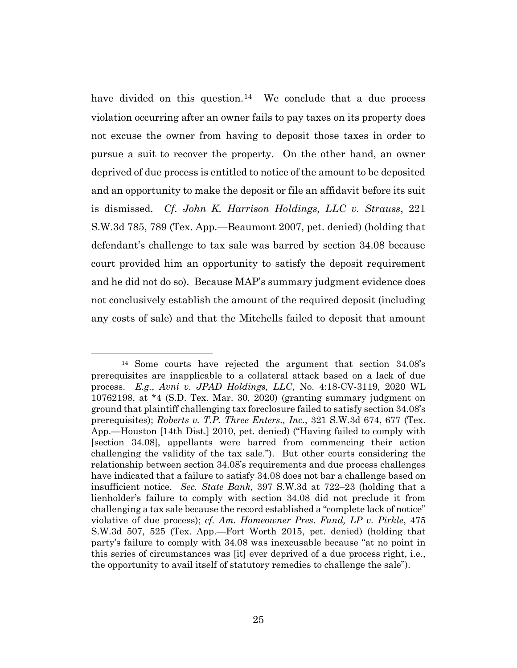have divided on this question.<sup>14</sup> We conclude that a due process violation occurring after an owner fails to pay taxes on its property does not excuse the owner from having to deposit those taxes in order to pursue a suit to recover the property. On the other hand, an owner deprived of due process is entitled to notice of the amount to be deposited and an opportunity to make the deposit or file an affidavit before its suit is dismissed. *Cf*. *John K. Harrison Holdings, LLC v. Strauss*, 221 S.W.3d 785, 789 (Tex. App.—Beaumont 2007, pet. denied) (holding that defendant's challenge to tax sale was barred by section 34.08 because court provided him an opportunity to satisfy the deposit requirement and he did not do so). Because MAP's summary judgment evidence does not conclusively establish the amount of the required deposit (including any costs of sale) and that the Mitchells failed to deposit that amount

<sup>14</sup> Some courts have rejected the argument that section 34.08's prerequisites are inapplicable to a collateral attack based on a lack of due process. *E.g.*, *Avni v. JPAD Holdings, LLC*, No. 4:18-CV-3119, 2020 WL 10762198, at \*4 (S.D. Tex. Mar. 30, 2020) (granting summary judgment on ground that plaintiff challenging tax foreclosure failed to satisfy section 34.08's prerequisites); *Roberts v. T.P. Three Enters., Inc.*, 321 S.W.3d 674, 677 (Tex. App.—Houston [14th Dist.] 2010, pet. denied) ("Having failed to comply with [section 34.08], appellants were barred from commencing their action challenging the validity of the tax sale."). But other courts considering the relationship between section 34.08's requirements and due process challenges have indicated that a failure to satisfy 34.08 does not bar a challenge based on insufficient notice. *Sec. State Bank*, 397 S.W.3d at 722–23 (holding that a lienholder's failure to comply with section 34.08 did not preclude it from challenging a tax sale because the record established a "complete lack of notice" violative of due process); *cf. Am. Homeowner Pres. Fund, LP v. Pirkle*, 475 S.W.3d 507, 525 (Tex. App.—Fort Worth 2015, pet. denied) (holding that party's failure to comply with 34.08 was inexcusable because "at no point in this series of circumstances was [it] ever deprived of a due process right, i.e., the opportunity to avail itself of statutory remedies to challenge the sale").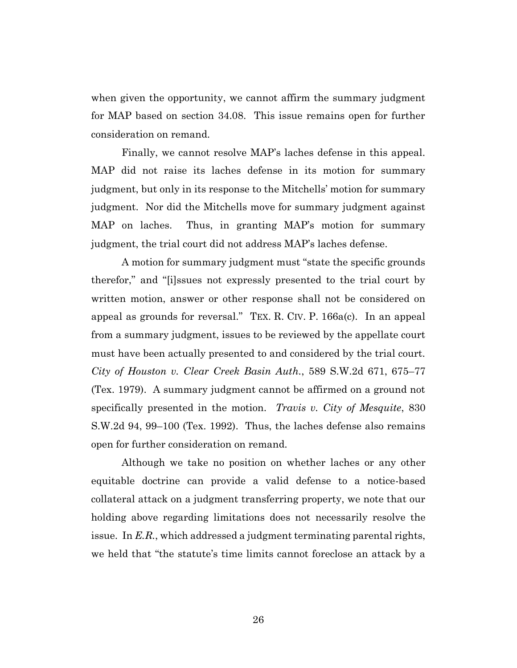when given the opportunity, we cannot affirm the summary judgment for MAP based on section 34.08. This issue remains open for further consideration on remand.

Finally, we cannot resolve MAP's laches defense in this appeal. MAP did not raise its laches defense in its motion for summary judgment, but only in its response to the Mitchells' motion for summary judgment. Nor did the Mitchells move for summary judgment against MAP on laches. Thus, in granting MAP's motion for summary judgment, the trial court did not address MAP's laches defense.

A motion for summary judgment must "state the specific grounds therefor," and "[i]ssues not expressly presented to the trial court by written motion, answer or other response shall not be considered on appeal as grounds for reversal." TEX. R. CIV. P. 166a(c). In an appeal from a summary judgment, issues to be reviewed by the appellate court must have been actually presented to and considered by the trial court. *City of Houston v. Clear Creek Basin Auth.*, 589 S.W.2d 671, 675–77 (Tex. 1979). A summary judgment cannot be affirmed on a ground not specifically presented in the motion. *Travis v. City of Mesquite*, 830 S.W.2d 94, 99–100 (Tex. 1992). Thus, the laches defense also remains open for further consideration on remand.

Although we take no position on whether laches or any other equitable doctrine can provide a valid defense to a notice-based collateral attack on a judgment transferring property, we note that our holding above regarding limitations does not necessarily resolve the issue. In *E.R.*, which addressed a judgment terminating parental rights, we held that "the statute's time limits cannot foreclose an attack by a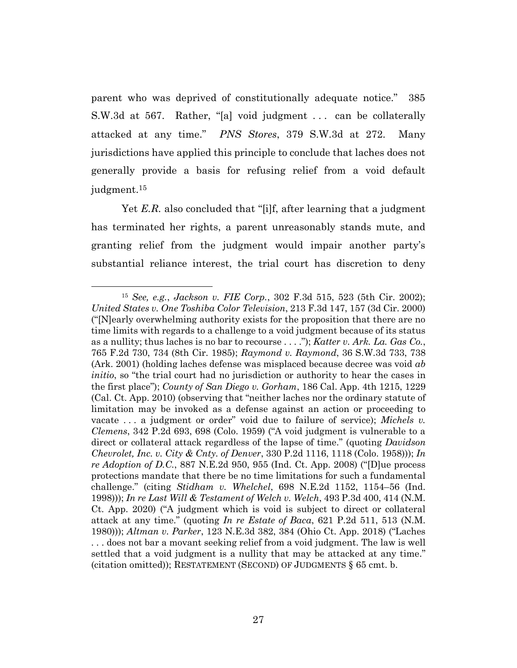parent who was deprived of constitutionally adequate notice." 385 S.W.3d at 567. Rather, "[a] void judgment . . . can be collaterally attacked at any time." *PNS Stores*, 379 S.W.3d at 272. Many jurisdictions have applied this principle to conclude that laches does not generally provide a basis for refusing relief from a void default judgment. 15

Yet *E.R.* also concluded that "[i]f, after learning that a judgment has terminated her rights, a parent unreasonably stands mute, and granting relief from the judgment would impair another party's substantial reliance interest, the trial court has discretion to deny

<sup>15</sup> *See, e.g.*, *Jackson v. FIE Corp.*, 302 F.3d 515, 523 (5th Cir. 2002); *United States v. One Toshiba Color Television*, 213 F.3d 147, 157 (3d Cir. 2000) ("[N]early overwhelming authority exists for the proposition that there are no time limits with regards to a challenge to a void judgment because of its status as a nullity; thus laches is no bar to recourse . . . ."); *Katter v. Ark. La. Gas Co.*, 765 F.2d 730, 734 (8th Cir. 1985); *Raymond v. Raymond*, 36 S.W.3d 733, 738 (Ark. 2001) (holding laches defense was misplaced because decree was void *ab initio*, so "the trial court had no jurisdiction or authority to hear the cases in the first place"); *County of San Diego v. Gorham*, 186 Cal. App. 4th 1215, 1229 (Cal. Ct. App. 2010) (observing that "neither laches nor the ordinary statute of limitation may be invoked as a defense against an action or proceeding to vacate . . . a judgment or order" void due to failure of service); *Michels v. Clemens*, 342 P.2d 693, 698 (Colo. 1959) ("A void judgment is vulnerable to a direct or collateral attack regardless of the lapse of time." (quoting *Davidson Chevrolet, Inc. v. City & Cnty. of Denver*, 330 P.2d 1116, 1118 (Colo. 1958))); *In re Adoption of D.C.*, 887 N.E.2d 950, 955 (Ind. Ct. App. 2008) ("[D]ue process protections mandate that there be no time limitations for such a fundamental challenge." (citing *Stidham v. Whelchel*, 698 N.E.2d 1152, 1154–56 (Ind. 1998))); *In re Last Will & Testament of Welch v. Welch*, 493 P.3d 400, 414 (N.M. Ct. App. 2020) ("A judgment which is void is subject to direct or collateral attack at any time." (quoting *In re Estate of Baca*, 621 P.2d 511, 513 (N.M. 1980))); *Altman v. Parker*, 123 N.E.3d 382, 384 (Ohio Ct. App. 2018) ("Laches . . . does not bar a movant seeking relief from a void judgment. The law is well settled that a void judgment is a nullity that may be attacked at any time." (citation omitted)); RESTATEMENT (SECOND) OF JUDGMENTS § 65 cmt. b.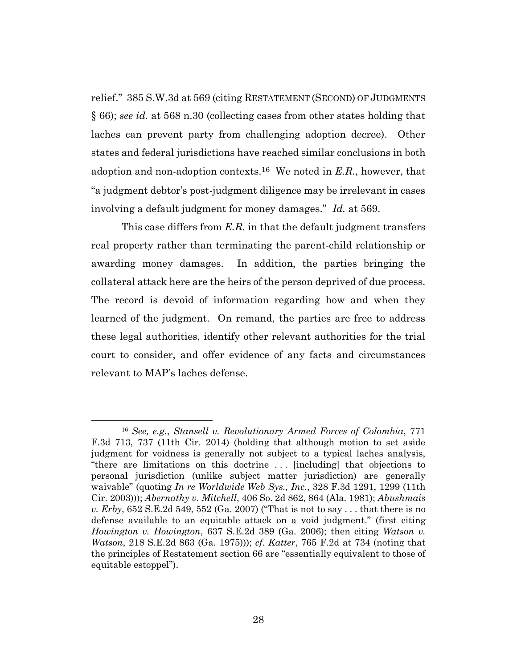relief." 385 S.W.3d at 569 (citing RESTATEMENT (SECOND) OF JUDGMENTS § 66); *see id.* at 568 n.30 (collecting cases from other states holding that laches can prevent party from challenging adoption decree). Other states and federal jurisdictions have reached similar conclusions in both adoption and non-adoption contexts.16 We noted in *E.R.*, however, that "a judgment debtor's post-judgment diligence may be irrelevant in cases involving a default judgment for money damages." *Id.* at 569.

This case differs from *E.R.* in that the default judgment transfers real property rather than terminating the parent-child relationship or awarding money damages. In addition, the parties bringing the collateral attack here are the heirs of the person deprived of due process. The record is devoid of information regarding how and when they learned of the judgment. On remand, the parties are free to address these legal authorities, identify other relevant authorities for the trial court to consider, and offer evidence of any facts and circumstances relevant to MAP's laches defense.

<sup>16</sup> *See, e.g.*, *Stansell v. Revolutionary Armed Forces of Colombia*, 771 F.3d 713, 737 (11th Cir. 2014) (holding that although motion to set aside judgment for voidness is generally not subject to a typical laches analysis, "there are limitations on this doctrine . . . [including] that objections to personal jurisdiction (unlike subject matter jurisdiction) are generally waivable" (quoting *In re Worldwide Web Sys., Inc.*, 328 F.3d 1291, 1299 (11th Cir. 2003))); *Abernathy v. Mitchell*, 406 So. 2d 862, 864 (Ala. 1981); *Abushmais v. Erby*, 652 S.E.2d 549, 552 (Ga. 2007) ("That is not to say . . . that there is no defense available to an equitable attack on a void judgment." (first citing *Howington v. Howington*, 637 S.E.2d 389 (Ga. 2006); then citing *Watson v. Watson*, 218 S.E.2d 863 (Ga. 1975))); *cf. Katter*, 765 F.2d at 734 (noting that the principles of Restatement section 66 are "essentially equivalent to those of equitable estoppel").